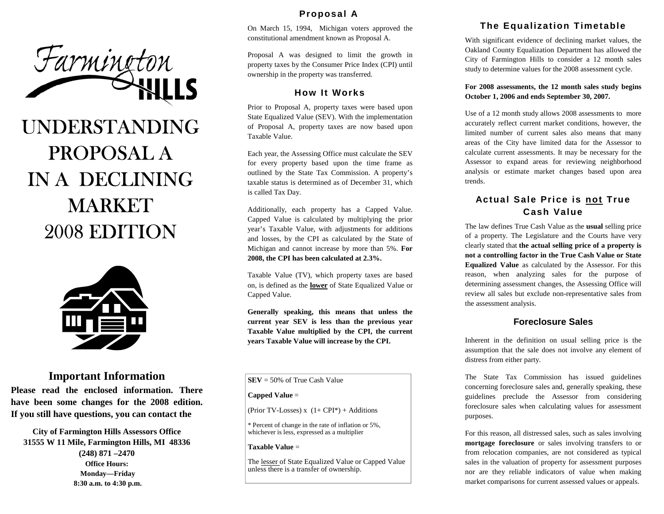

# UNDERSTANDING PROPOSAL A IN A DECLINING MARKET 2008 EDITION



# **Important Information**

**Please read the enclosed information. There have been some changes for the 2008 edition. If you still have questions, you can contact the** 

**City of Farmington Hills Assessors Office 31555 W 11 Mile, Farmington Hills, MI 48336 (248) 871 –2470 Office Hours: Monday—Friday 8:30 a.m. to 4:30 p.m.** 

## **Proposal A**

On March 15, 1994, Michigan voters approved the constitutional amendment known as Proposal A.

Proposal A was designed to limit the growth in property taxes by the Consumer Price Index (CPI) until ownership in the property was transferred.

#### **How It Works**

Prior to Proposal A, property taxes were based upon State Equalized Value (SEV). With the implementation of Proposal A, property taxes are now based upon Taxable Value.

Each year, the Assessing Office must calculate the SEV for every property based upon the time frame as outlined by the State Tax Commission. A property's taxable status is determined as of December 31, which is called Tax Day.

Additionally, each property has a Capped Value. Capped Value is calculated by multiplying the prior year's Taxable Value, with adjustments for additions and losses, by the CPI as calculated by the State of Michigan and cannot increase by more than 5%. **For 2008, the CPI has been calculated at 2.3%.** 

Taxable Value (TV), which property taxes are based on, is defined as the **lower** of State Equalized Value or Capped Value.

**Generally speaking, this means that unless the current year SEV is less than the previous year Taxable Value multiplied by the CPI, the current years Taxable Value will increase by the CPI.** 

 $SEV = 50\%$  of True Cash Value

**Capped Value** <sup>=</sup>

(Prior TV-Losses)  $x(1+CPI^*)$  + Additions

\* Percent of change in the rate of inflation or 5%, whichever is less, expressed as a multiplier

**Taxable Value** <sup>=</sup>

The lesser of State Equalized Value or Capped Value unless there is a transfer of ownership.

# **The Equalization Timetable**

With significant evidence of declining market values, the Oakland County Equalization Department has allowed the City of Farmington Hills to consider a 12 month sales study to determine values for the 2008 assessment cycle.

#### **For 2008 assessments, the 12 month sales study begins October 1, 2006 and ends September 30, 2007.**

Use of a 12 month study allows 2008 assessments to more accurately reflect current market conditions, however, the limited number of current sales also means that many areas of the City have limited data for the Assessor to calculate current assessments. It may be necessary for the Assessor to expand areas for reviewing neighborhood analysis or estimate market changes based upon area trends.

# **Actual Sale Price is not True Cash Value**

The law defines True Cash Value as the **usual** selling price of a property. The Legislature and the Courts have very clearly stated that **the actual selling price of a property is not a controlling factor in the True Cash Value or State Equalized Value** as calculated by the Assessor. For this reason, when analyzing sales for the purpose of determining assessment changes, the Assessing Office will review all sales but exclude non-representative sales from the assessment analysis.

#### **Foreclosure Sales**

Inherent in the definition on usual selling price is the assumption that the sale does not involve any element of distress from either party.

The State Tax Commission has issued guidelines concerning foreclosure sales and, generally speaking, these guidelines preclude the Assessor from considering foreclosure sales when calculating values for assessment purposes.

For this reason, all distressed sales, such as sales involving **mortgage foreclosure** or sales involving transfers to or from relocation companies, are not considered as typical sales in the valuation of property for assessment purposes nor are they reliable indicators of value when making market comparisons for current assessed values or appeals.